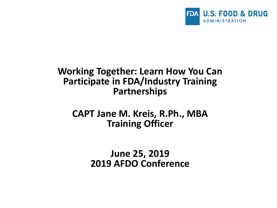

#### **Working Together: Learn How You Can Participate in FDA/Industry Training Partnerships**

#### **CAPT Jane M. Kreis, R.Ph., MBA Training Officer**

**June 25, 2019 2019 AFDO Conference**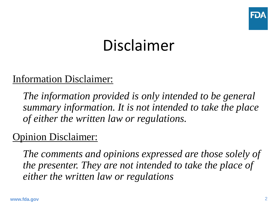

# Disclaimer

### Information Disclaimer:

*The information provided is only intended to be general summary information. It is not intended to take the place of either the written law or regulations.*

### Opinion Disclaimer:

*The comments and opinions expressed are those solely of the presenter. They are not intended to take the place of either the written law or regulations*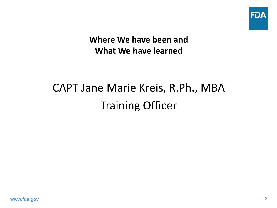

**Where We have been and What We have learned**

# CAPT Jane Marie Kreis, R.Ph., MBA Training Officer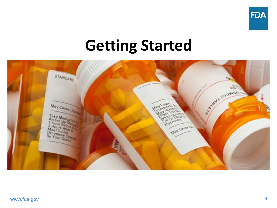

# **Getting Started**

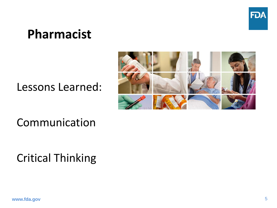

## **Pharmacist**

Lessons Learned:



Communication

Critical Thinking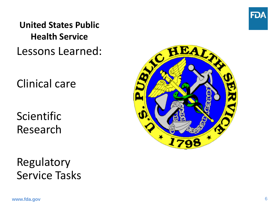

### **United States Public Health Service** Lessons Learned:

Clinical care

Scientific Research

Regulatory Service Tasks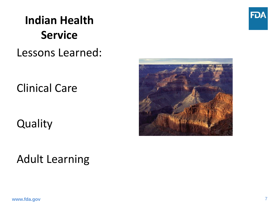

# **Indian Health Service**

### Lessons Learned:

Clinical Care

**Quality** 



## Adult Learning

**www.fda.gov**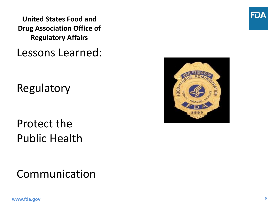**United States Food and Drug Association Office of Regulatory Affairs**

Lessons Learned:

Regulatory

Protect the Public Health

Communication



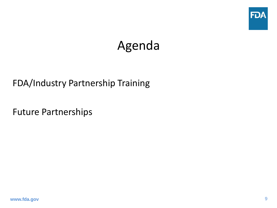

## Agenda

#### FDA/Industry Partnership Training

Future Partnerships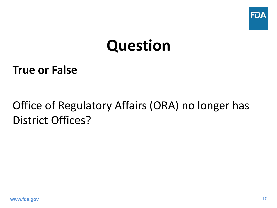

# **Question**

### **True or False**

## Office of Regulatory Affairs (ORA) no longer has District Offices?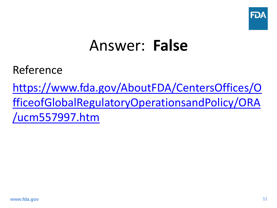

# Answer: **False**

Reference

https://www.fda.gov/AboutFDA/CentersOffices/O [fficeofGlobalRegulatoryOperationsandPolicy/ORA](https://www.fda.gov/AboutFDA/CentersOffices/OfficeofGlobalRegulatoryOperationsandPolicy/ORA/ucm557997.htm) /ucm557997.htm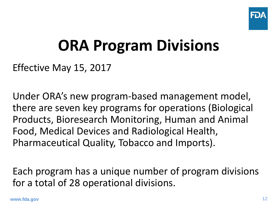

# **ORA Program Divisions**

Effective May 15, 2017

Under ORA's new program-based management model, there are seven key programs for operations (Biological Products, Bioresearch Monitoring, Human and Animal Food, Medical Devices and Radiological Health, Pharmaceutical Quality, Tobacco and Imports).

Each program has a unique number of program divisions for a total of 28 operational divisions.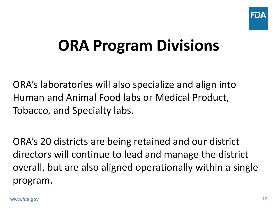

# **ORA Program Divisions**

ORA's laboratories will also specialize and align into Human and Animal Food labs or Medical Product, Tobacco, and Specialty labs.

ORA's 20 districts are being retained and our district directors will continue to lead and manage the district overall, but are also aligned operationally within a single program.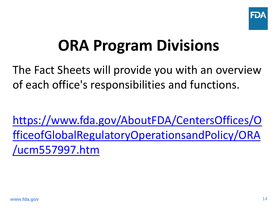

# **ORA Program Divisions**

The Fact Sheets will provide you with an overview of each office's responsibilities and functions.

https://www.fda.gov/AboutFDA/CentersOffices/O [fficeofGlobalRegulatoryOperationsandPolicy/ORA](https://www.fda.gov/AboutFDA/CentersOffices/OfficeofGlobalRegulatoryOperationsandPolicy/ORA/ucm557997.htm) /ucm557997.htm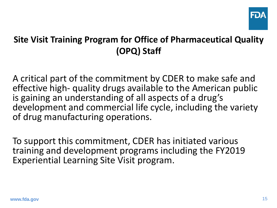

A critical part of the commitment by CDER to make safe and effective high- quality drugs available to the American public is gaining an understanding of all aspects of a drug's development and commercial life cycle, including the variety of drug manufacturing operations.

To support this commitment, CDER has initiated various training and development programs including the FY2019 Experiential Learning Site Visit program.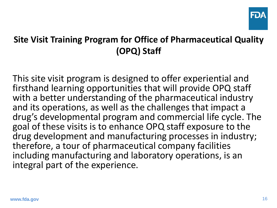

This site visit program is designed to offer experiential and firsthand learning opportunities that will provide OPQ staff with a better understanding of the pharmaceutical industry and its operations, as well as the challenges that impact a drug's developmental program and commercial life cycle. The goal of these visits is to enhance OPQ staff exposure to the drug development and manufacturing processes in industry; therefore, a tour of pharmaceutical company facilities including manufacturing and laboratory operations, is an integral part of the experience.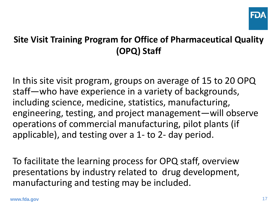

In this site visit program, groups on average of 15 to 20 OPQ staff—who have experience in a variety of backgrounds, including science, medicine, statistics, manufacturing, engineering, testing, and project management—will observe operations of commercial manufacturing, pilot plants (if applicable), and testing over a 1- to 2- day period.

To facilitate the learning process for OPQ staff, overview presentations by industry related to drug development, manufacturing and testing may be included.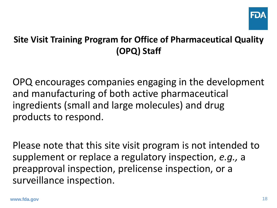

OPQ encourages companies engaging in the development and manufacturing of both active pharmaceutical ingredients (small and large molecules) and drug products to respond.

Please note that this site visit program is not intended to supplement or replace a regulatory inspection, *e.g.,* a preapproval inspection, prelicense inspection, or a surveillance inspection.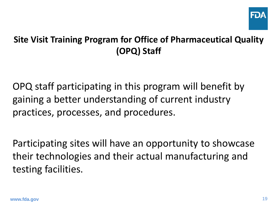

OPQ staff participating in this program will benefit by gaining a better understanding of current industry practices, processes, and procedures.

Participating sites will have an opportunity to showcase their technologies and their actual manufacturing and testing facilities.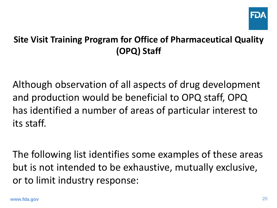

Although observation of all aspects of drug development and production would be beneficial to OPQ staff, OPQ has identified a number of areas of particular interest to its staff.

The following list identifies some examples of these areas but is not intended to be exhaustive, mutually exclusive, or to limit industry response: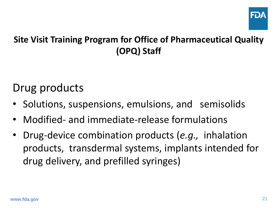

### Drug products

- Solutions, suspensions, emulsions, and semisolids
- Modified- and immediate-release formulations
- Drug-device combination products (*e.g.,* inhalation products, transdermal systems, implants intended for drug delivery, and prefilled syringes)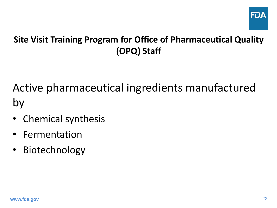

Active pharmaceutical ingredients manufactured by

- Chemical synthesis
- Fermentation
- Biotechnology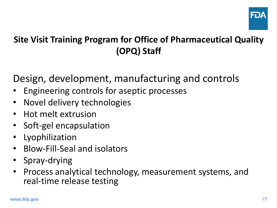

Design, development, manufacturing and controls

- Engineering controls for aseptic processes
- Novel delivery technologies
- Hot melt extrusion
- Soft-gel encapsulation
- **Lyophilization**
- Blow-Fill-Seal and isolators
- Spray-drying
- Process analytical technology, measurement systems, and real-time release testing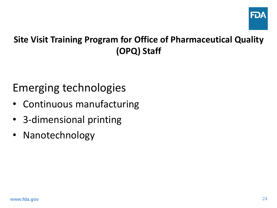

### Emerging technologies

- Continuous manufacturing
- 3-dimensional printing
- Nanotechnology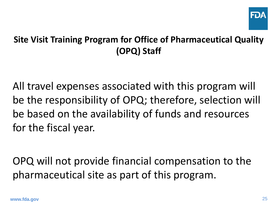

All travel expenses associated with this program will be the responsibility of OPQ; therefore, selection will be based on the availability of funds and resources for the fiscal year.

OPQ will not provide financial compensation to the pharmaceutical site as part of this program.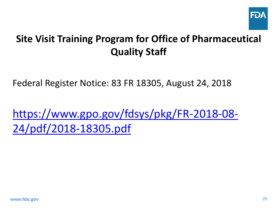

Federal Register Notice: 83 FR 18305, August 24, 2018

[https://www.gpo.gov/fdsys/pkg/FR-2018-08-](https://www.gpo.gov/fdsys/pkg/FR-2018-08-24/pdf/2018-18305.pdf) 24/pdf/2018-18305.pdf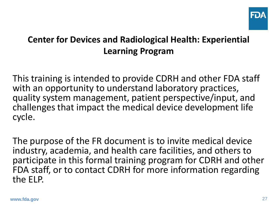

#### **Center for Devices and Radiological Health: Experiential Learning Program**

This training is intended to provide CDRH and other FDA staff with an opportunity to understand laboratory practices, quality system management, patient perspective/input, and challenges that impact the medical device development life cycle.

The purpose of the FR document is to invite medical device industry, academia, and health care facilities, and others to participate in this formal training program for CDRH and other FDA staff, or to contact CDRH for more information regarding the ELP.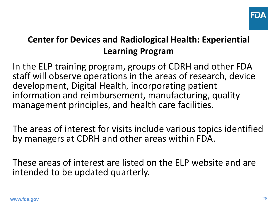

#### **Center for Devices and Radiological Health: Experiential Learning Program**

In the ELP training program, groups of CDRH and other FDA staff will observe operations in the areas of research, device development, Digital Health, incorporating patient information and reimbursement, manufacturing, quality management principles, and health care facilities.

The areas of interest for visits include various topics identified by managers at CDRH and other areas within FDA.

These areas of interest are listed on the ELP website and are intended to be updated quarterly.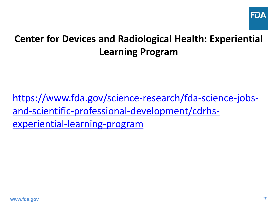

### **Center for Devices and Radiological Health: Experiential Learning Program**

[https://www.fda.gov/science-research/fda-science-jobs](https://www.fda.gov/science-research/fda-science-jobs-and-scientific-professional-development/cdrhs-experiential-learning-program)and-scientific-professional-development/cdrhsexperiential-learning-program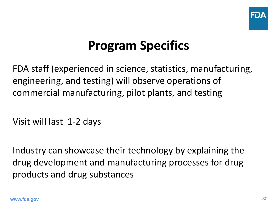

# **Program Specifics**

FDA staff (experienced in science, statistics, manufacturing, engineering, and testing) will observe operations of commercial manufacturing, pilot plants, and testing

Visit will last 1-2 days

Industry can showcase their technology by explaining the drug development and manufacturing processes for drug products and drug substances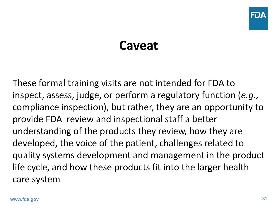

## **Caveat**

These formal training visits are not intended for FDA to inspect, assess, judge, or perform a regulatory function (*e.g.,* compliance inspection), but rather, they are an opportunity to provide FDA review and inspectional staff a better understanding of the products they review, how they are developed, the voice of the patient, challenges related to quality systems development and management in the product life cycle, and how these products fit into the larger health care system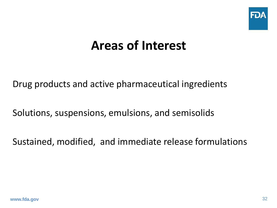

## **Areas of Interest**

Drug products and active pharmaceutical ingredients

Solutions, suspensions, emulsions, and semisolids

Sustained, modified, and immediate release formulations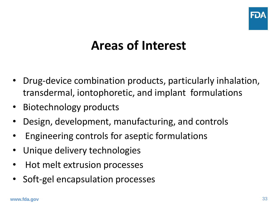

# **Areas of Interest**

- Drug-device combination products, particularly inhalation, transdermal, iontophoretic, and implant formulations
- Biotechnology products
- Design, development, manufacturing, and controls
- Engineering controls for aseptic formulations
- Unique delivery technologies
- Hot melt extrusion processes
- Soft-gel encapsulation processes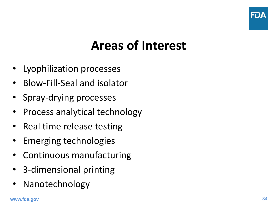

# **Areas of Interest**

- Lyophilization processes
- Blow-Fill-Seal and isolator
- Spray-drying processes
- Process analytical technology
- Real time release testing
- Emerging technologies
- Continuous manufacturing
- 3-dimensional printing
- **Nanotechnology**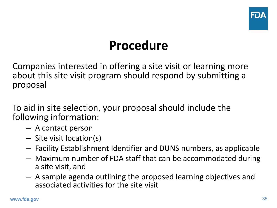

# **Procedure**

Companies interested in offering a site visit or learning more about this site visit program should respond by submitting a proposal

To aid in site selection, your proposal should include the following information:

- A contact person
- Site visit location(s)
- Facility Establishment Identifier and DUNS numbers, as applicable
- Maximum number of FDA staff that can be accommodated during a site visit, and
- A sample agenda outlining the proposed learning objectives and associated activities for the site visit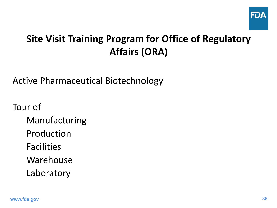

Active Pharmaceutical Biotechnology

- Manufacturing
- Production
- Facilities
- Warehouse
- Laboratory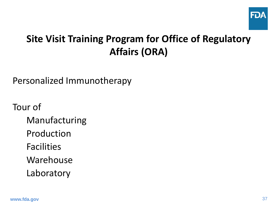

Personalized Immunotherapy

- Manufacturing
- Production
- Facilities
- Warehouse
- Laboratory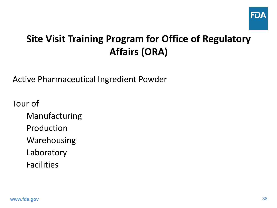

Active Pharmaceutical Ingredient Powder

- Manufacturing
- Production
- Warehousing
- Laboratory
- Facilities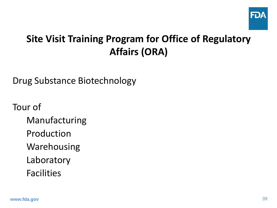

Drug Substance Biotechnology

- Manufacturing
- Production
- Warehousing
- Laboratory
- Facilities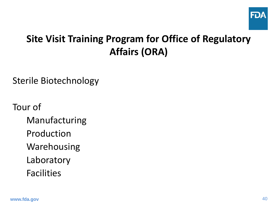

Sterile Biotechnology

- Manufacturing
- Production
- Warehousing
- Laboratory
- Facilities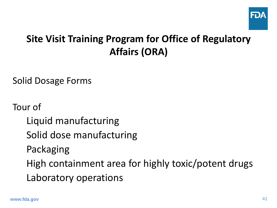

Solid Dosage Forms

Tour of

Liquid manufacturing Solid dose manufacturing

Packaging

High containment area for highly toxic/potent drugs

Laboratory operations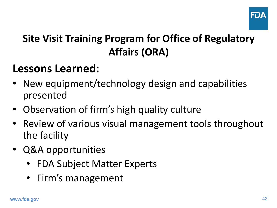

### **Lessons Learned:**

- New equipment/technology design and capabilities presented
- Observation of firm's high quality culture
- Review of various visual management tools throughout the facility
- Q&A opportunities
	- FDA Subject Matter Experts
	- Firm's management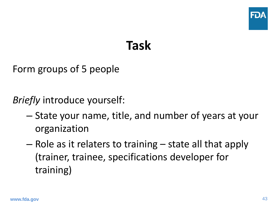

## **Task**

Form groups of 5 people

*Briefly* introduce yourself:

- State your name, title, and number of years at your organization
- Role as it relaters to training state all that apply (trainer, trainee, specifications developer for training)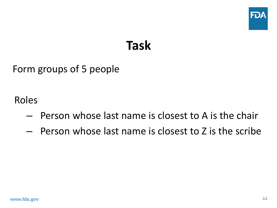

## **Task**

Form groups of 5 people

Roles

- Person whose last name is closest to A is the chair
- Person whose last name is closest to Z is the scribe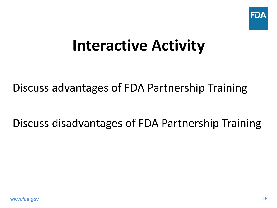

# **Interactive Activity**

### Discuss advantages of FDA Partnership Training

Discuss disadvantages of FDA Partnership Training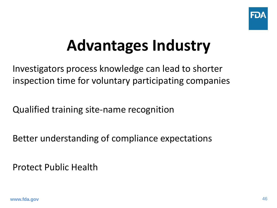

# **Advantages Industry**

Investigators process knowledge can lead to shorter inspection time for voluntary participating companies

Qualified training site-name recognition

Better understanding of compliance expectations

Protect Public Health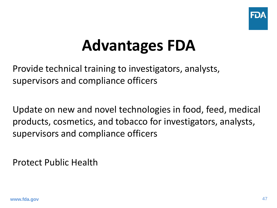

# **Advantages FDA**

Provide technical training to investigators, analysts, supervisors and compliance officers

Update on new and novel technologies in food, feed, medical products, cosmetics, and tobacco for investigators, analysts, supervisors and compliance officers

Protect Public Health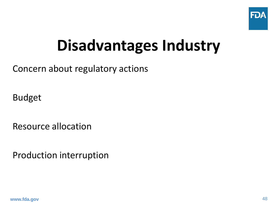

# **Disadvantages Industry**

Concern about regulatory actions

Budget

Resource allocation

Production interruption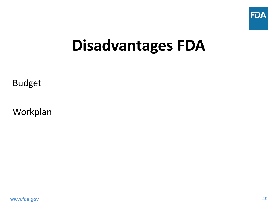

# **Disadvantages FDA**

Budget

Workplan

**www.fda.gov**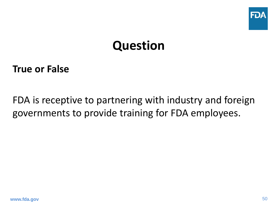

## **Question**

#### **True or False**

FDA is receptive to partnering with industry and foreign governments to provide training for FDA employees.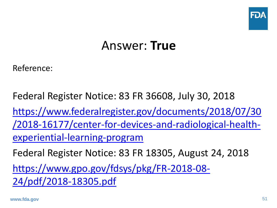

## Answer: **True**

Reference:

Federal Register Notice: 83 FR 36608, July 30, 2018 https://www.federalregister.gov/documents/2018/07/30 [/2018-16177/center-for-devices-and-radiological-health](https://www.federalregister.gov/documents/2018/07/30/2018-16177/center-for-devices-and-radiological-health-experiential-learning-program)experiential-learning-program Federal Register Notice: 83 FR 18305, August 24, 2018 [https://www.gpo.gov/fdsys/pkg/FR-2018-08-](https://www.gpo.gov/fdsys/pkg/FR-2018-08-24/pdf/2018-18305.pdf) 24/pdf/2018-18305.pdf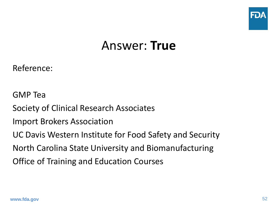

### Answer: **True**

Reference:

GMP Tea Society of Clinical Research Associates Import Brokers Association UC Davis Western Institute for Food Safety and Security North Carolina State University and Biomanufacturing Office of Training and Education Courses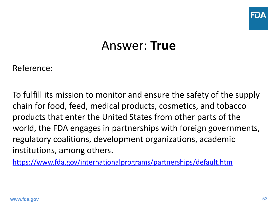

## Answer: **True**

Reference:

To fulfill its mission to monitor and ensure the safety of the supply chain for food, feed, medical products, cosmetics, and tobacco products that enter the United States from other parts of the world, the FDA engages in partnerships with foreign governments, regulatory coalitions, development organizations, academic institutions, among others.

<https://www.fda.gov/internationalprograms/partnerships/default.htm>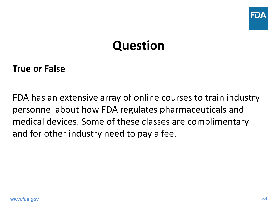

# **Question**

#### **True or False**

FDA has an extensive array of online courses to train industry personnel about how FDA regulates pharmaceuticals and medical devices. Some of these classes are complimentary and for other industry need to pay a fee.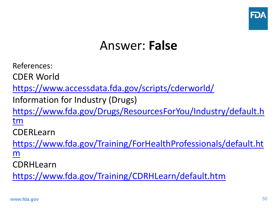

## Answer: **False**

References:

CDER World

<https://www.accessdata.fda.gov/scripts/cderworld/>

Information for Industry (Drugs)

[https://www.fda.gov/Drugs/ResourcesForYou/Industry/default.h](https://www.fda.gov/Drugs/ResourcesForYou/Industry/default.htm) tm

CDERLearn

[https://www.fda.gov/Training/ForHealthProfessionals/default.ht](https://www.fda.gov/Training/ForHealthProfessionals/default.htm) m

CDRHLearn

<https://www.fda.gov/Training/CDRHLearn/default.htm>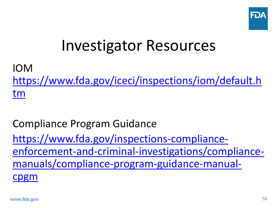

# Investigator Resources

IOM [https://www.fda.gov/iceci/inspections/iom/default.h](https://www.fda.gov/iceci/inspections/iom/default.htm) tm

Compliance Program Guidance https://www.fda.gov/inspections-compliance[enforcement-and-criminal-investigations/compliance](https://www.fda.gov/inspections-compliance-enforcement-and-criminal-investigations/compliance-manuals/compliance-program-guidance-manual-cpgm)manuals/compliance-program-guidance-manualcpgm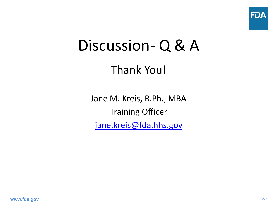

# Discussion- Q & A

### Thank You!

Jane M. Kreis, R.Ph., MBA Training Officer [jane.kreis@fda.hhs.gov](mailto:jane.kreis@fda.hhs.gov)